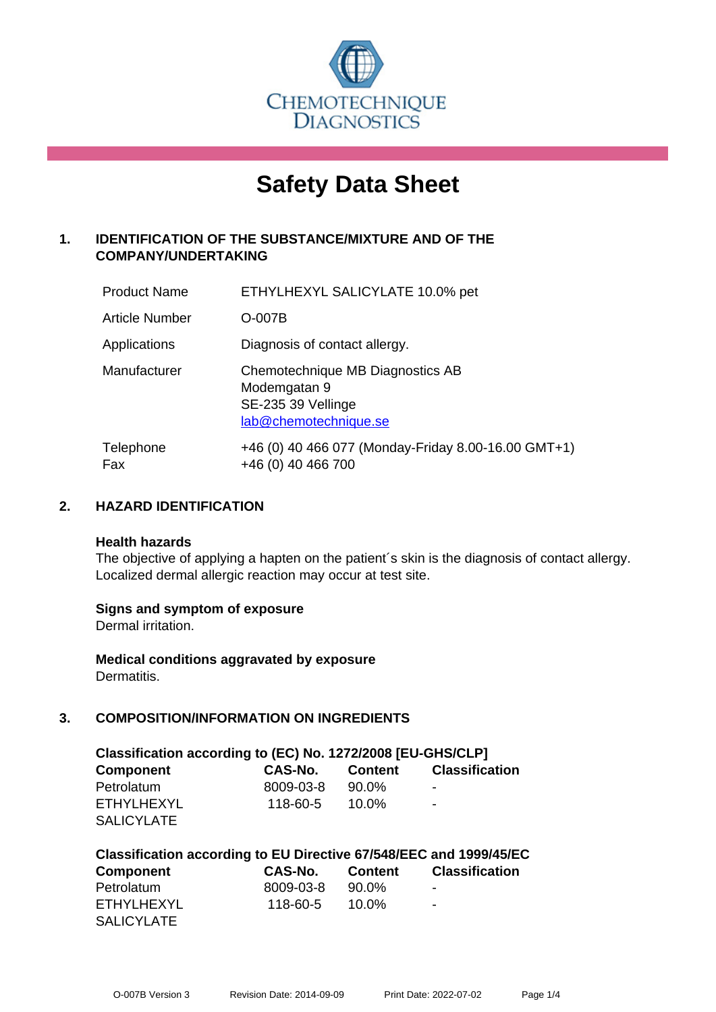

# **Safety Data Sheet**

# **1. IDENTIFICATION OF THE SUBSTANCE/MIXTURE AND OF THE COMPANY/UNDERTAKING**

| <b>Product Name</b>   | ETHYLHEXYL SALICYLATE 10.0% pet                                                                 |
|-----------------------|-------------------------------------------------------------------------------------------------|
| <b>Article Number</b> | $O-007B$                                                                                        |
| Applications          | Diagnosis of contact allergy.                                                                   |
| Manufacturer          | Chemotechnique MB Diagnostics AB<br>Modemgatan 9<br>SE-235 39 Vellinge<br>lab@chemotechnique.se |
| Telephone<br>Fax      | +46 (0) 40 466 077 (Monday-Friday 8.00-16.00 GMT+1)<br>+46 (0) 40 466 700                       |

## **2. HAZARD IDENTIFICATION**

#### **Health hazards**

The objective of applying a hapten on the patient's skin is the diagnosis of contact allergy. Localized dermal allergic reaction may occur at test site.

## **Signs and symptom of exposure**

Dermal irritation.

**Medical conditions aggravated by exposure** Dermatitis.

# **3. COMPOSITION/INFORMATION ON INGREDIENTS**

| Classification according to (EC) No. 1272/2008 [EU-GHS/CLP] |                |          |                          |  |
|-------------------------------------------------------------|----------------|----------|--------------------------|--|
| <b>Component</b>                                            | CAS-No.        | Content  | <b>Classification</b>    |  |
| Petrolatum                                                  | 8009-03-8      | 90.0%    | $\overline{\phantom{0}}$ |  |
| ETHYLHEXYL                                                  | $118 - 60 - 5$ | $10.0\%$ | $\blacksquare$           |  |
| <b>SALICYLATE</b>                                           |                |          |                          |  |

| Classification according to EU Directive 67/548/EEC and 1999/45/EC |           |          |                          |  |  |
|--------------------------------------------------------------------|-----------|----------|--------------------------|--|--|
| <b>Component</b>                                                   | CAS-No.   | Content  | <b>Classification</b>    |  |  |
| Petrolatum                                                         | 8009-03-8 | 90.0%    | ۰                        |  |  |
| ETHYLHEXYL                                                         | 118-60-5  | $10.0\%$ | $\overline{\phantom{a}}$ |  |  |
| <b>SALICYLATE</b>                                                  |           |          |                          |  |  |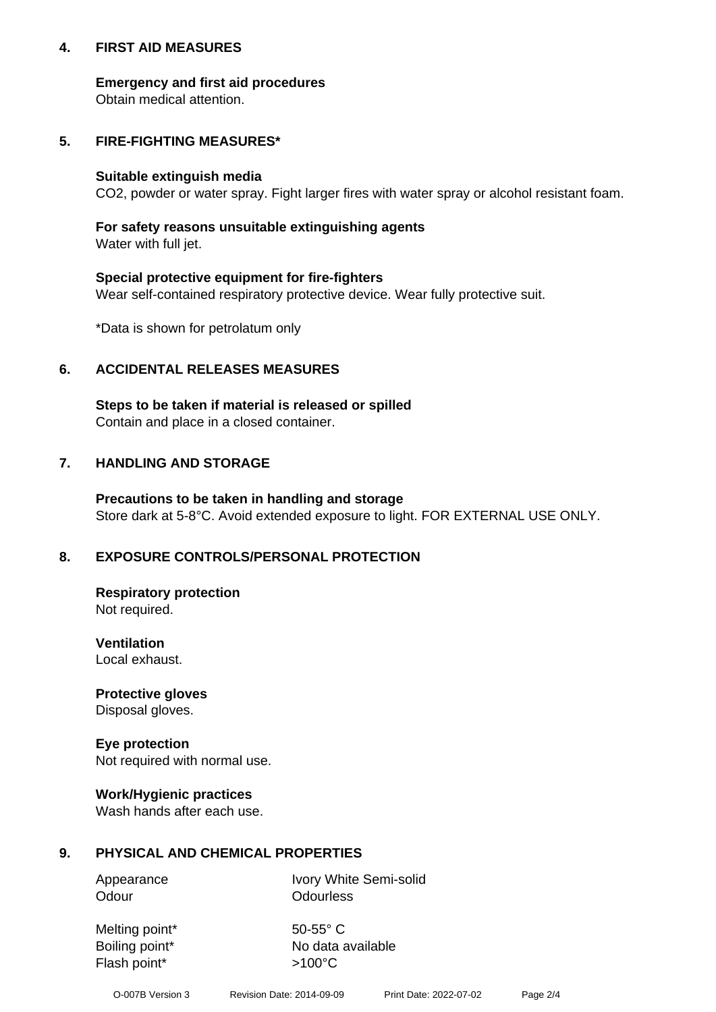## **4. FIRST AID MEASURES**

## **Emergency and first aid procedures**

Obtain medical attention.

## **5. FIRE-FIGHTING MEASURES\***

#### **Suitable extinguish media**

CO2, powder or water spray. Fight larger fires with water spray or alcohol resistant foam.

## **For safety reasons unsuitable extinguishing agents**

Water with full jet.

## **Special protective equipment for fire-fighters**

Wear self-contained respiratory protective device. Wear fully protective suit.

\*Data is shown for petrolatum only

## **6. ACCIDENTAL RELEASES MEASURES**

**Steps to be taken if material is released or spilled** Contain and place in a closed container.

# **7. HANDLING AND STORAGE**

**Precautions to be taken in handling and storage** Store dark at 5-8°C. Avoid extended exposure to light. FOR EXTERNAL USE ONLY.

# **8. EXPOSURE CONTROLS/PERSONAL PROTECTION**

**Respiratory protection** Not required.

**Ventilation** Local exhaust.

**Protective gloves** Disposal gloves.

#### **Eye protection** Not required with normal use.

## **Work/Hygienic practices**

Wash hands after each use.

## **9. PHYSICAL AND CHEMICAL PROPERTIES**

Odour **Odourless** 

Appearance Ivory White Semi-solid

Melting point\* 50-55° C Flash point\*  $>100^{\circ}$ C

Boiling point\* No data available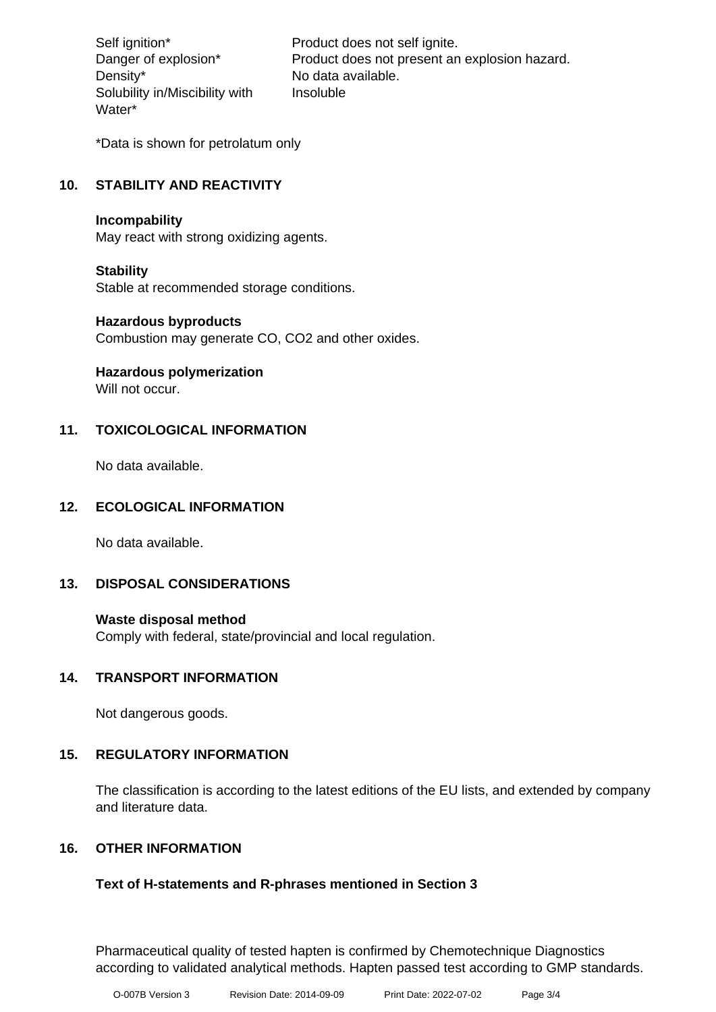Density\* No data available. Solubility in/Miscibility with Water\*

Self ignition\* Product does not self ignite. Danger of explosion\* Product does not present an explosion hazard. Insoluble

\*Data is shown for petrolatum only

## **10. STABILITY AND REACTIVITY**

#### **Incompability**

May react with strong oxidizing agents.

## **Stability**

Stable at recommended storage conditions.

#### **Hazardous byproducts**

Combustion may generate CO, CO2 and other oxides.

**Hazardous polymerization**

Will not occur.

## **11. TOXICOLOGICAL INFORMATION**

No data available.

## **12. ECOLOGICAL INFORMATION**

No data available.

## **13. DISPOSAL CONSIDERATIONS**

#### **Waste disposal method**

Comply with federal, state/provincial and local regulation.

## **14. TRANSPORT INFORMATION**

Not dangerous goods.

## **15. REGULATORY INFORMATION**

The classification is according to the latest editions of the EU lists, and extended by company and literature data.

## **16. OTHER INFORMATION**

## **Text of H-statements and R-phrases mentioned in Section 3**

Pharmaceutical quality of tested hapten is confirmed by Chemotechnique Diagnostics according to validated analytical methods. Hapten passed test according to GMP standards.